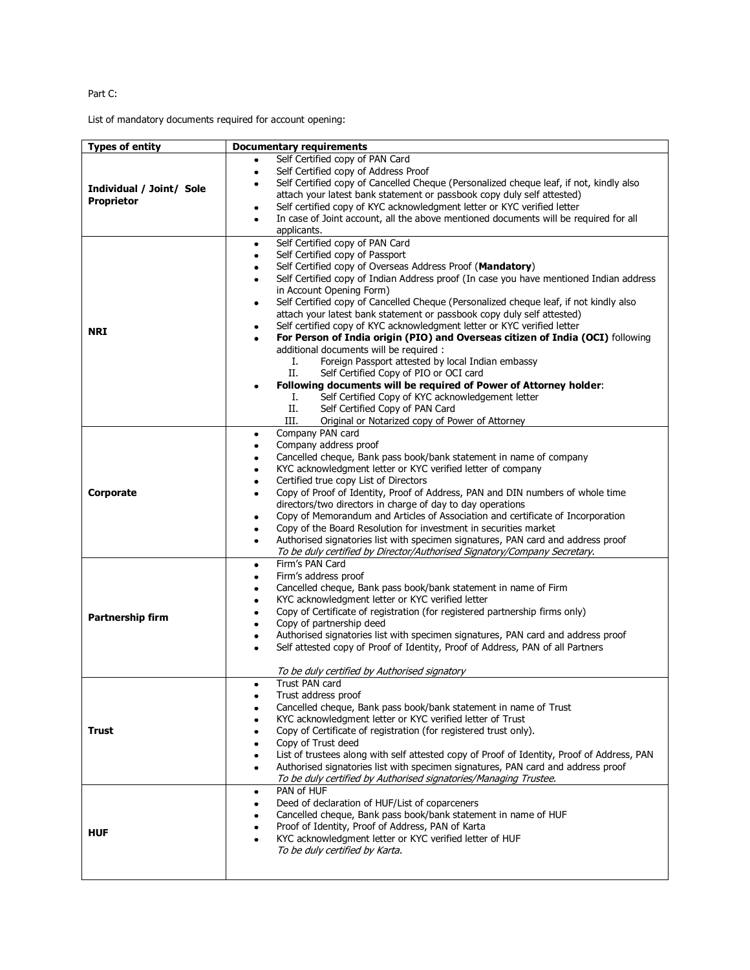## Part C:

List of mandatory documents required for account opening:

| <b>Types of entity</b>                        |                                                                                                                                                                         |
|-----------------------------------------------|-------------------------------------------------------------------------------------------------------------------------------------------------------------------------|
|                                               | <b>Documentary requirements</b>                                                                                                                                         |
| Individual / Joint/ Sole<br><b>Proprietor</b> | Self Certified copy of PAN Card<br>٠                                                                                                                                    |
|                                               | Self Certified copy of Address Proof<br>٠                                                                                                                               |
|                                               | Self Certified copy of Cancelled Cheque (Personalized cheque leaf, if not, kindly also<br>٠                                                                             |
|                                               | attach your latest bank statement or passbook copy duly self attested)                                                                                                  |
|                                               | Self certified copy of KYC acknowledgment letter or KYC verified letter                                                                                                 |
|                                               | In case of Joint account, all the above mentioned documents will be required for all<br>٠                                                                               |
|                                               | applicants.                                                                                                                                                             |
| <b>NRI</b>                                    | Self Certified copy of PAN Card<br>٠                                                                                                                                    |
|                                               | Self Certified copy of Passport<br>$\bullet$                                                                                                                            |
|                                               | Self Certified copy of Overseas Address Proof (Mandatory)<br>٠                                                                                                          |
|                                               | Self Certified copy of Indian Address proof (In case you have mentioned Indian address<br>٠                                                                             |
|                                               | in Account Opening Form)                                                                                                                                                |
|                                               | Self Certified copy of Cancelled Cheque (Personalized cheque leaf, if not kindly also<br>٠                                                                              |
|                                               | attach your latest bank statement or passbook copy duly self attested)                                                                                                  |
|                                               | Self certified copy of KYC acknowledgment letter or KYC verified letter<br>٠                                                                                            |
|                                               | For Person of India origin (PIO) and Overseas citizen of India (OCI) following<br>$\bullet$                                                                             |
|                                               | additional documents will be required :                                                                                                                                 |
|                                               | Foreign Passport attested by local Indian embassy<br>Ι.                                                                                                                 |
|                                               | П.<br>Self Certified Copy of PIO or OCI card                                                                                                                            |
|                                               | Following documents will be required of Power of Attorney holder:                                                                                                       |
|                                               | Self Certified Copy of KYC acknowledgement letter<br>Ι.                                                                                                                 |
|                                               | П.<br>Self Certified Copy of PAN Card                                                                                                                                   |
|                                               | Original or Notarized copy of Power of Attorney<br>III.                                                                                                                 |
|                                               | Company PAN card<br>٠                                                                                                                                                   |
|                                               | Company address proof<br>٠                                                                                                                                              |
|                                               | Cancelled cheque, Bank pass book/bank statement in name of company                                                                                                      |
|                                               | KYC acknowledgment letter or KYC verified letter of company<br>٠                                                                                                        |
|                                               | Certified true copy List of Directors<br>٠                                                                                                                              |
| <b>Corporate</b>                              | Copy of Proof of Identity, Proof of Address, PAN and DIN numbers of whole time<br>٠                                                                                     |
|                                               | directors/two directors in charge of day to day operations                                                                                                              |
|                                               | Copy of Memorandum and Articles of Association and certificate of Incorporation                                                                                         |
|                                               | Copy of the Board Resolution for investment in securities market<br>$\bullet$                                                                                           |
|                                               | Authorised signatories list with specimen signatures, PAN card and address proof<br>٠                                                                                   |
|                                               | To be duly certified by Director/Authorised Signatory/Company Secretary.                                                                                                |
|                                               | Firm's PAN Card<br>٠                                                                                                                                                    |
|                                               | Firm's address proof<br>٠                                                                                                                                               |
|                                               | Cancelled cheque, Bank pass book/bank statement in name of Firm<br>٠                                                                                                    |
|                                               | KYC acknowledgment letter or KYC verified letter<br>٠                                                                                                                   |
| <b>Partnership firm</b>                       | Copy of Certificate of registration (for registered partnership firms only)<br>٠                                                                                        |
|                                               | Copy of partnership deed<br>٠                                                                                                                                           |
|                                               | Authorised signatories list with specimen signatures, PAN card and address proof<br>٠<br>Self attested copy of Proof of Identity, Proof of Address, PAN of all Partners |
|                                               |                                                                                                                                                                         |
|                                               |                                                                                                                                                                         |
|                                               | To be duly certified by Authorised signatory<br>Trust PAN card                                                                                                          |
| Trust                                         | Trust address proof<br>٠                                                                                                                                                |
|                                               | Cancelled cheque, Bank pass book/bank statement in name of Trust                                                                                                        |
|                                               | KYC acknowledgment letter or KYC verified letter of Trust                                                                                                               |
|                                               | Copy of Certificate of registration (for registered trust only).                                                                                                        |
|                                               | Copy of Trust deed                                                                                                                                                      |
|                                               | List of trustees along with self attested copy of Proof of Identity, Proof of Address, PAN                                                                              |
|                                               | Authorised signatories list with specimen signatures, PAN card and address proof<br>$\bullet$                                                                           |
|                                               | To be duly certified by Authorised signatories/Managing Trustee.                                                                                                        |
|                                               | PAN of HUF<br>٠                                                                                                                                                         |
| <b>HUF</b>                                    | Deed of declaration of HUF/List of coparceners                                                                                                                          |
|                                               | Cancelled cheque, Bank pass book/bank statement in name of HUF                                                                                                          |
|                                               | Proof of Identity, Proof of Address, PAN of Karta                                                                                                                       |
|                                               | KYC acknowledgment letter or KYC verified letter of HUF                                                                                                                 |
|                                               | To be duly certified by Karta.                                                                                                                                          |
|                                               |                                                                                                                                                                         |
|                                               |                                                                                                                                                                         |